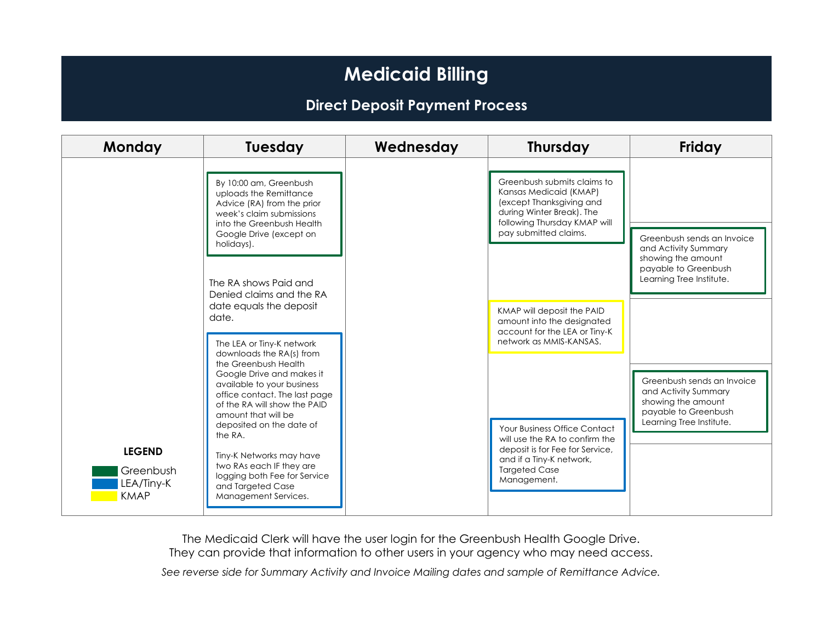## **Medicaid Billing**

## **Direct Deposit Payment Process**

| Monday                                                  | <b>Tuesday</b>                                                                                                                                                                                                                                                                                                                                                                                                                                                                                        | Wednesday | <b>Thursday</b>                                                                                                                                                         | Friday                                                                                                                       |  |
|---------------------------------------------------------|-------------------------------------------------------------------------------------------------------------------------------------------------------------------------------------------------------------------------------------------------------------------------------------------------------------------------------------------------------------------------------------------------------------------------------------------------------------------------------------------------------|-----------|-------------------------------------------------------------------------------------------------------------------------------------------------------------------------|------------------------------------------------------------------------------------------------------------------------------|--|
|                                                         | By 10:00 am, Greenbush<br>uploads the Remittance<br>Advice (RA) from the prior<br>week's claim submissions<br>into the Greenbush Health<br>Google Drive (except on<br>holidays).                                                                                                                                                                                                                                                                                                                      |           | Greenbush submits claims to<br>Kansas Medicaid (KMAP)<br>(except Thanksgiving and<br>during Winter Break). The<br>following Thursday KMAP will<br>pay submitted claims. | Greenbush sends an Invoice<br>and Activity Summary                                                                           |  |
| <b>LEGEND</b><br>Greenbush<br>LEA/Tiny-K<br><b>KMAP</b> | The RA shows Paid and<br>Denied claims and the RA<br>date equals the deposit<br>date.<br>The LEA or Tiny-K network<br>downloads the RA(s) from<br>the Greenbush Health<br>Google Drive and makes it<br>available to your business<br>office contact. The last page<br>of the RA will show the PAID<br>amount that will be<br>deposited on the date of<br>the RA.<br>Tiny-K Networks may have<br>two RAs each IF they are<br>logging both Fee for Service<br>and Targeted Case<br>Management Services. |           | KMAP will deposit the PAID<br>amount into the designated<br>account for the LEA or Tiny-K<br>network as MMIS-KANSAS.                                                    | showing the amount<br>payable to Greenbush<br>Learning Tree Institute.                                                       |  |
|                                                         |                                                                                                                                                                                                                                                                                                                                                                                                                                                                                                       |           | Your Business Office Contact<br>will use the RA to confirm the<br>deposit is for Fee for Service,<br>and if a Tiny-K network,<br><b>Targeted Case</b><br>Management.    | Greenbush sends an Invoice<br>and Activity Summary<br>showing the amount<br>payable to Greenbush<br>Learning Tree Institute. |  |

The Medicaid Clerk will have the user login for the Greenbush Health Google Drive. They can provide that information to other users in your agency who may need access.

*See reverse side for Summary Activity and Invoice Mailing dates and sample of Remittance Advice.*